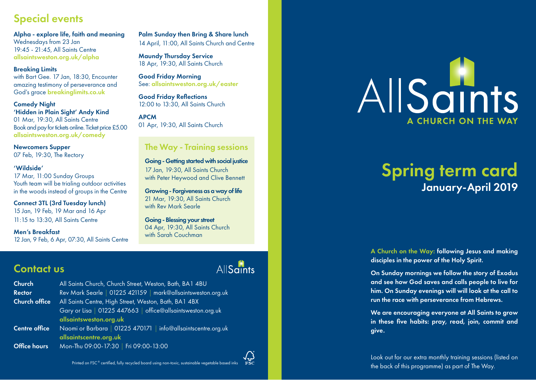# Special events

Alpha - explore life, faith and meaning Wednesdays from 23 Jan 19:45 - 21:45, All Saints Centre [allsaintsweston.org.uk/alpha](https://allsaintsweston.org.uk/alpha)

## Breaking Limits

with Bart Gee. 17 Jan, 18:30, Encounter amazing testimony of perseverance and God's grace [breakinglimits.co.uk](http://www.breakinglimits.co.uk)

## Comedy Night

'Hidden in Plain Sight' Andy Kind

01 Mar, 19:30, All Saints Centre Book and pay for tickets online. Ticket price £5.00 [allsaintsweston.org.uk/comedy](https://allsaintsweston.org.uk/comedy)

Newcomers Supper 07 Feb, 19:30, The Rectory

### 'Wildside'

17 Mar, 11:00 Sunday Groups Youth team will be trialing outdoor activities in the woods instead of groups in the Centre

Connect 3TL (3rd Tuesday lunch)

15 Jan, 19 Feb, 19 Mar and 16 Apr 11:15 to 13:30, All Saints Centre

### Men's Breakfast

12 Jan, 9 Feb, 6 Apr, 07:30, All Saints Centre

Palm Sunday then Bring & Share lunch 14 April, 11:00, All Saints Church and Centre

Maundy Thursday Service 18 Apr, 19:30, All Saints Church

Good Friday Morning See: [allsaintsweston.org.uk/easter](https://allsaintsweston.org.uk/easter)

Good Friday Reflections 12:00 to 13:30, All Saints Church

## APCM

01 Apr, 19:30, All Saints Church

## The Way - Training sessions

Going - Getting started with social justice 17 Jan, 19:30, All Saints Church with Peter Heywood and Clive Bennett

Growing - Forgiveness as a way of life 21 Mar, 19:30, All Saints Church with Rev Mark Searle

Going - Blessing your street 04 Apr, 19:30, All Saints Church with Sarah Couchman

**AllSaints** 

## Contact us

Church All Saints Church, Church Street, Weston, Bath, BA1 4BU Rector Rev Mark Searle | 01225 421159 | mark@allsaintsweston.org.uk Church office All Saints Centre, High Street, Weston, Bath, BA1 4BX Gary or Lisa | 01225 447663 | office@allsaintsweston.org.uk [allsaintsweston.org.uk](https://allsaintsweston.org.uk) Centre office Naomi or Barbara | 01225 470171 | info@allsaintscentre.org.uk [allsaintscentre.org.uk](https://allsaintscentre.org.uk) Office hours Mon-Thu 09:00-17:30 | Fri 09:00-13:00



# Spring term card January-April 2019

A Church on the Way: following Jesus and making disciples in the power of the Holy Spirit.

On Sunday mornings we follow the story of Exodus and see how God saves and calls people to live for him. On Sunday evenings will will look at the call to run the race with perseverance from Hebrews.

We are encouraging everyone at All Saints to grow in these five habits: pray, read, join, commit and give.

Look out for our extra monthly training sessions (listed on the back of this programme) as part of The Way.

Printed on FSC ® certified, fully recycled board using non-toxic, sustainable vegetable based inks